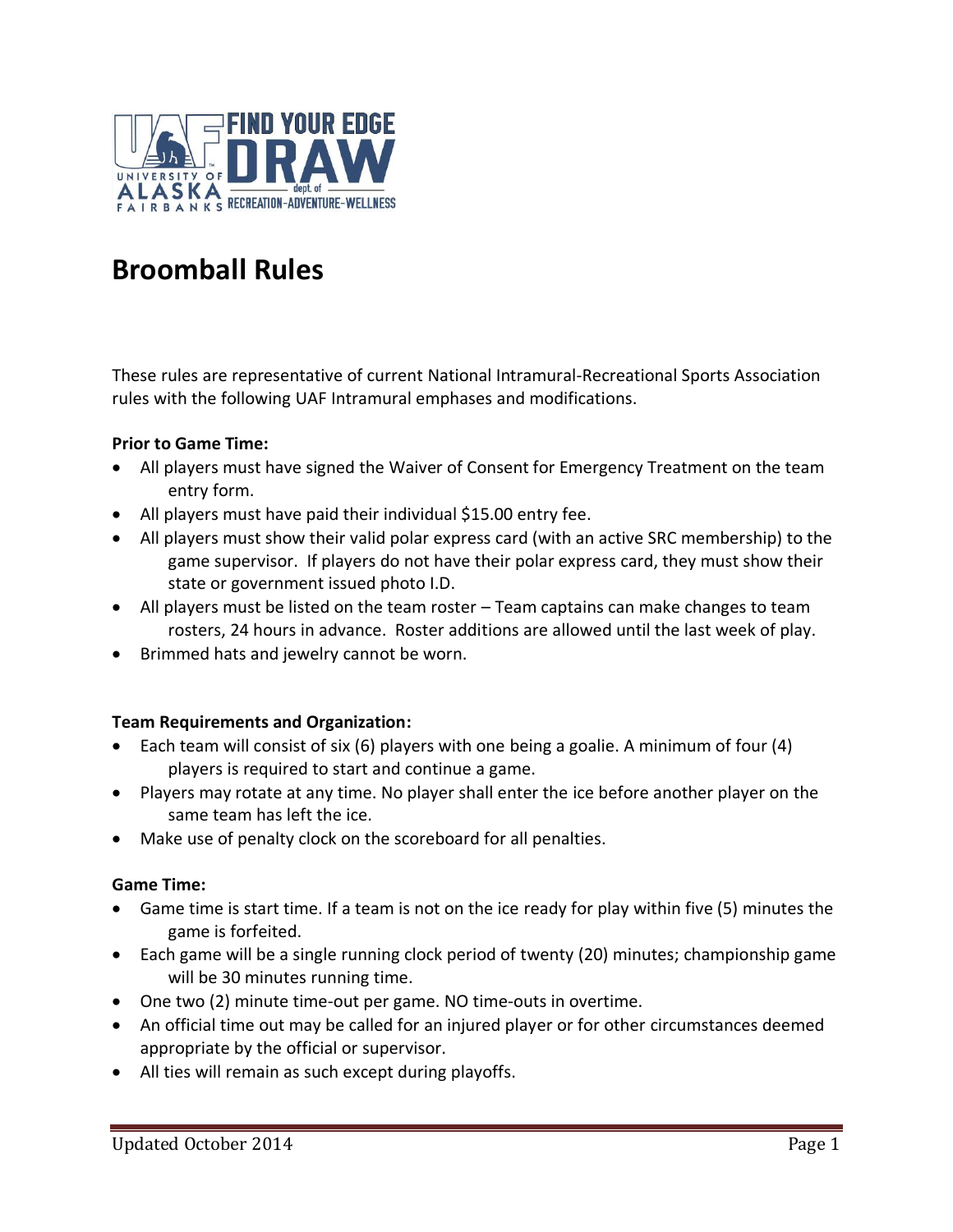

# **Broomball Rules**

These rules are representative of current National Intramural-Recreational Sports Association rules with the following UAF Intramural emphases and modifications.

#### **Prior to Game Time:**

- All players must have signed the Waiver of Consent for Emergency Treatment on the team entry form.
- All players must have paid their individual \$15.00 entry fee.
- All players must show their valid polar express card (with an active SRC membership) to the game supervisor. If players do not have their polar express card, they must show their state or government issued photo I.D.
- All players must be listed on the team roster Team captains can make changes to team rosters, 24 hours in advance. Roster additions are allowed until the last week of play.
- Brimmed hats and jewelry cannot be worn.

#### **Team Requirements and Organization:**

- Each team will consist of six (6) players with one being a goalie. A minimum of four (4) players is required to start and continue a game.
- Players may rotate at any time. No player shall enter the ice before another player on the same team has left the ice.
- Make use of penalty clock on the scoreboard for all penalties.

#### **Game Time:**

- Game time is start time. If a team is not on the ice ready for play within five (5) minutes the game is forfeited.
- Each game will be a single running clock period of twenty (20) minutes; championship game will be 30 minutes running time.
- One two (2) minute time-out per game. NO time-outs in overtime.
- An official time out may be called for an injured player or for other circumstances deemed appropriate by the official or supervisor.
- All ties will remain as such except during playoffs.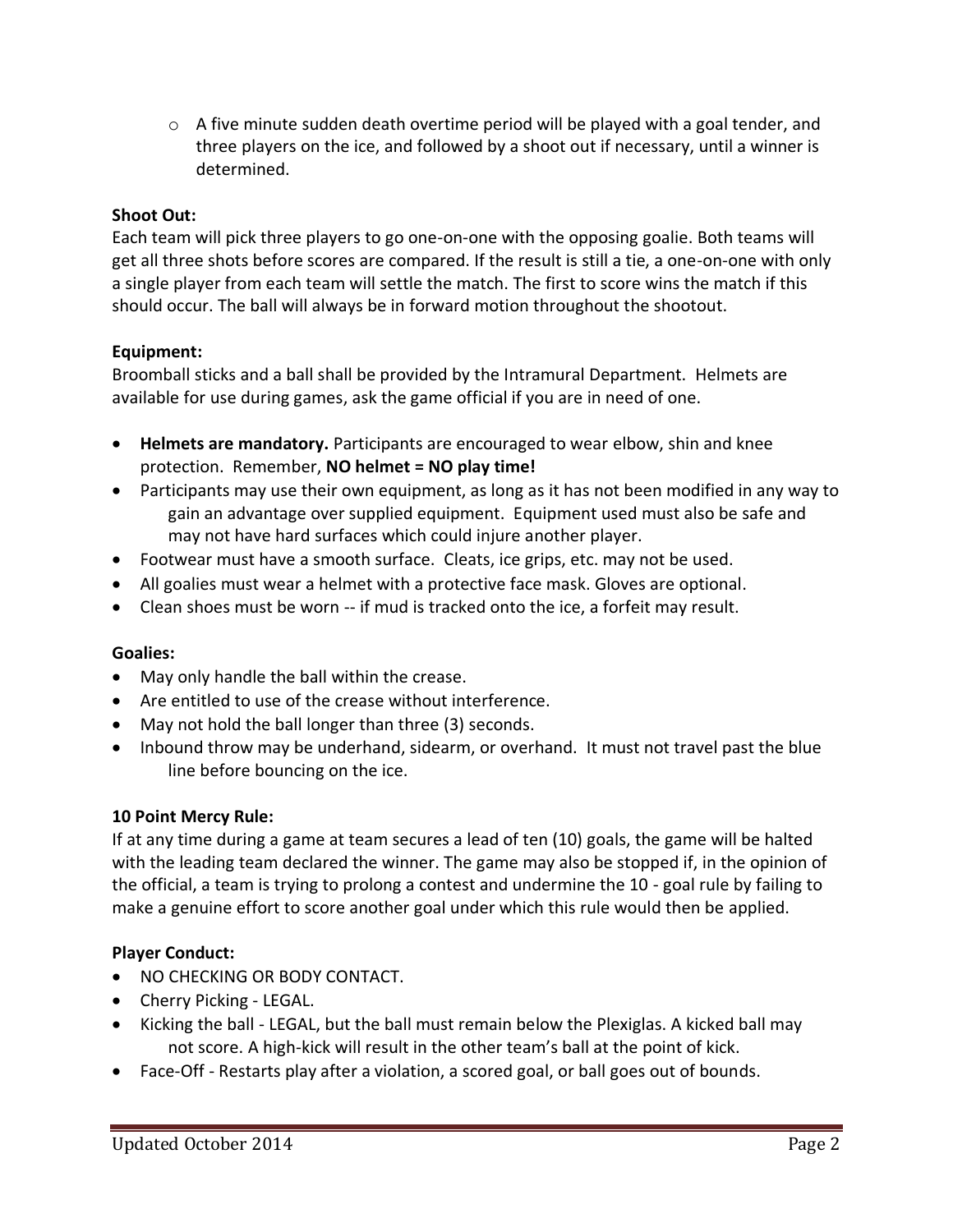$\circ$  A five minute sudden death overtime period will be played with a goal tender, and three players on the ice, and followed by a shoot out if necessary, until a winner is determined.

### **Shoot Out:**

Each team will pick three players to go one-on-one with the opposing goalie. Both teams will get all three shots before scores are compared. If the result is still a tie, a one-on-one with only a single player from each team will settle the match. The first to score wins the match if this should occur. The ball will always be in forward motion throughout the shootout.

## **Equipment:**

Broomball sticks and a ball shall be provided by the Intramural Department. Helmets are available for use during games, ask the game official if you are in need of one.

- **Helmets are mandatory.** Participants are encouraged to wear elbow, shin and knee protection. Remember, **NO helmet = NO play time!**
- Participants may use their own equipment, as long as it has not been modified in any way to gain an advantage over supplied equipment. Equipment used must also be safe and may not have hard surfaces which could injure another player.
- Footwear must have a smooth surface. Cleats, ice grips, etc. may not be used.
- All goalies must wear a helmet with a protective face mask. Gloves are optional.
- Clean shoes must be worn -- if mud is tracked onto the ice, a forfeit may result.

#### **Goalies:**

- May only handle the ball within the crease.
- Are entitled to use of the crease without interference.
- May not hold the ball longer than three (3) seconds.
- Inbound throw may be underhand, sidearm, or overhand. It must not travel past the blue line before bouncing on the ice.

#### **10 Point Mercy Rule:**

If at any time during a game at team secures a lead of ten (10) goals, the game will be halted with the leading team declared the winner. The game may also be stopped if, in the opinion of the official, a team is trying to prolong a contest and undermine the 10 - goal rule by failing to make a genuine effort to score another goal under which this rule would then be applied.

# **Player Conduct:**

- NO CHECKING OR BODY CONTACT.
- Cherry Picking LEGAL.
- Kicking the ball LEGAL, but the ball must remain below the Plexiglas. A kicked ball may not score. A high-kick will result in the other team's ball at the point of kick.
- Face-Off Restarts play after a violation, a scored goal, or ball goes out of bounds.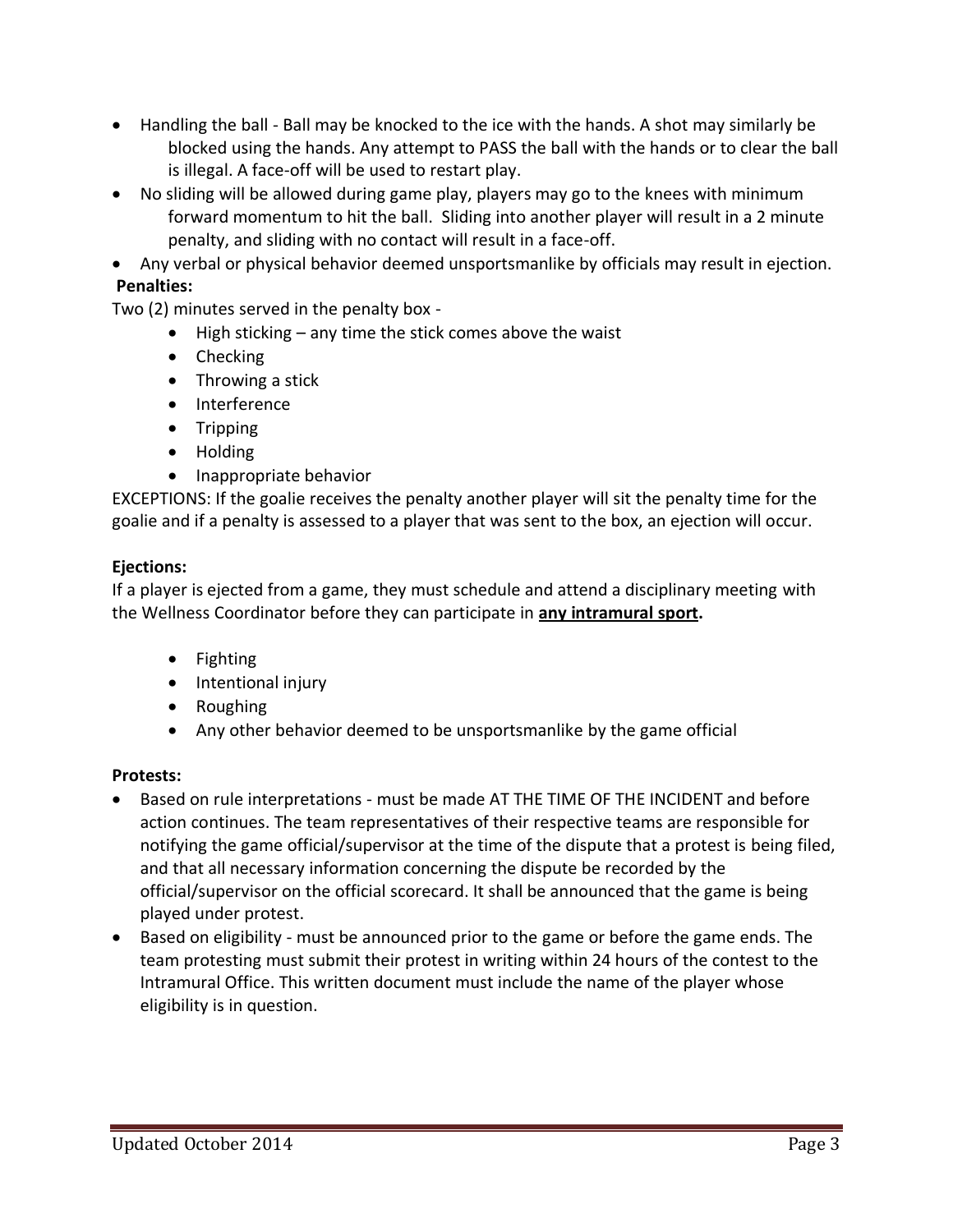- Handling the ball Ball may be knocked to the ice with the hands. A shot may similarly be blocked using the hands. Any attempt to PASS the ball with the hands or to clear the ball is illegal. A face-off will be used to restart play.
- No sliding will be allowed during game play, players may go to the knees with minimum forward momentum to hit the ball. Sliding into another player will result in a 2 minute penalty, and sliding with no contact will result in a face-off.
- Any verbal or physical behavior deemed unsportsmanlike by officials may result in ejection. **Penalties:**

Two (2) minutes served in the penalty box -

- High sticking any time the stick comes above the waist
- Checking
- Throwing a stick
- Interference
- Tripping
- Holding
- Inappropriate behavior

EXCEPTIONS: If the goalie receives the penalty another player will sit the penalty time for the goalie and if a penalty is assessed to a player that was sent to the box, an ejection will occur.

## **Ejections:**

If a player is ejected from a game, they must schedule and attend a disciplinary meeting with the Wellness Coordinator before they can participate in **any intramural sport.**

- Fighting
- Intentional injury
- Roughing
- Any other behavior deemed to be unsportsmanlike by the game official

# **Protests:**

- Based on rule interpretations must be made AT THE TIME OF THE INCIDENT and before action continues. The team representatives of their respective teams are responsible for notifying the game official/supervisor at the time of the dispute that a protest is being filed, and that all necessary information concerning the dispute be recorded by the official/supervisor on the official scorecard. It shall be announced that the game is being played under protest.
- Based on eligibility must be announced prior to the game or before the game ends. The team protesting must submit their protest in writing within 24 hours of the contest to the Intramural Office. This written document must include the name of the player whose eligibility is in question.